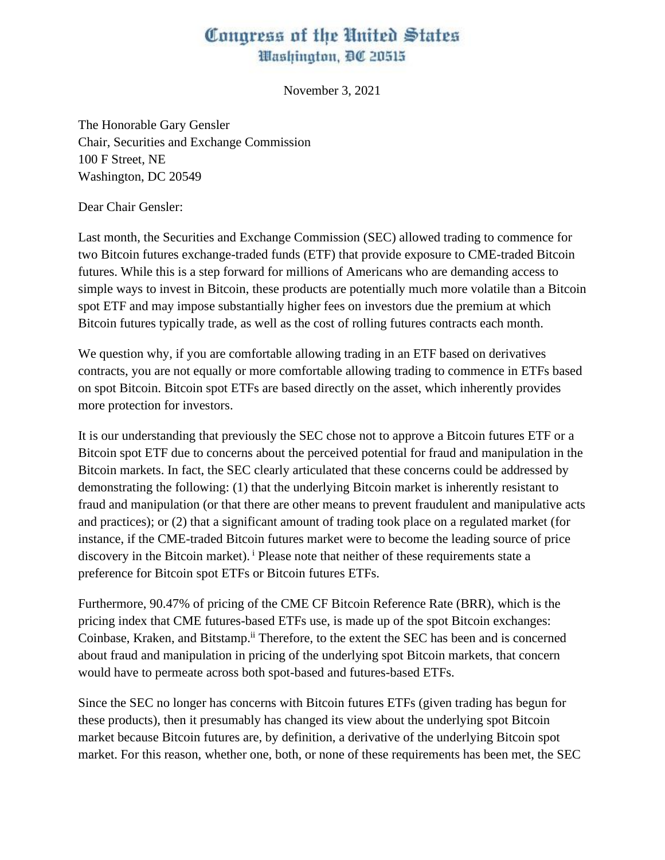## Congress of the United States Washington, DC 20515

November 3, 2021

The Honorable Gary Gensler Chair, Securities and Exchange Commission 100 F Street, NE Washington, DC 20549

Dear Chair Gensler:

Last month, the Securities and Exchange Commission (SEC) allowed trading to commence for two Bitcoin futures exchange-traded funds (ETF) that provide exposure to CME-traded Bitcoin futures. While this is a step forward for millions of Americans who are demanding access to simple ways to invest in Bitcoin, these products are potentially much more volatile than a Bitcoin spot ETF and may impose substantially higher fees on investors due the premium at which Bitcoin futures typically trade, as well as the cost of rolling futures contracts each month.

We question why, if you are comfortable allowing trading in an ETF based on derivatives contracts, you are not equally or more comfortable allowing trading to commence in ETFs based on spot Bitcoin. Bitcoin spot ETFs are based directly on the asset, which inherently provides more protection for investors.

It is our understanding that previously the SEC chose not to approve a Bitcoin futures ETF or a Bitcoin spot ETF due to concerns about the perceived potential for fraud and manipulation in the Bitcoin markets. In fact, the SEC clearly articulated that these concerns could be addressed by demonstrating the following: (1) that the underlying Bitcoin market is inherently resistant to fraud and manipulation (or that there are other means to prevent fraudulent and manipulative acts and practices); or (2) that a significant amount of trading took place on a regulated market (for instance, if the CME-traded Bitcoin futures market were to become the leading source of price discovery in the Bitcoin market). <sup>i</sup> Please note that neither of these requirements state a preference for Bitcoin spot ETFs or Bitcoin futures ETFs.

Furthermore, 90.47% of pricing of the CME CF Bitcoin Reference Rate (BRR), which is the pricing index that CME futures-based ETFs use, is made up of the spot Bitcoin exchanges: Coinbase, Kraken, and Bitstamp.<sup>ii</sup> Therefore, to the extent the SEC has been and is concerned about fraud and manipulation in pricing of the underlying spot Bitcoin markets, that concern would have to permeate across both spot-based and futures-based ETFs.

Since the SEC no longer has concerns with Bitcoin futures ETFs (given trading has begun for these products), then it presumably has changed its view about the underlying spot Bitcoin market because Bitcoin futures are, by definition, a derivative of the underlying Bitcoin spot market. For this reason, whether one, both, or none of these requirements has been met, the SEC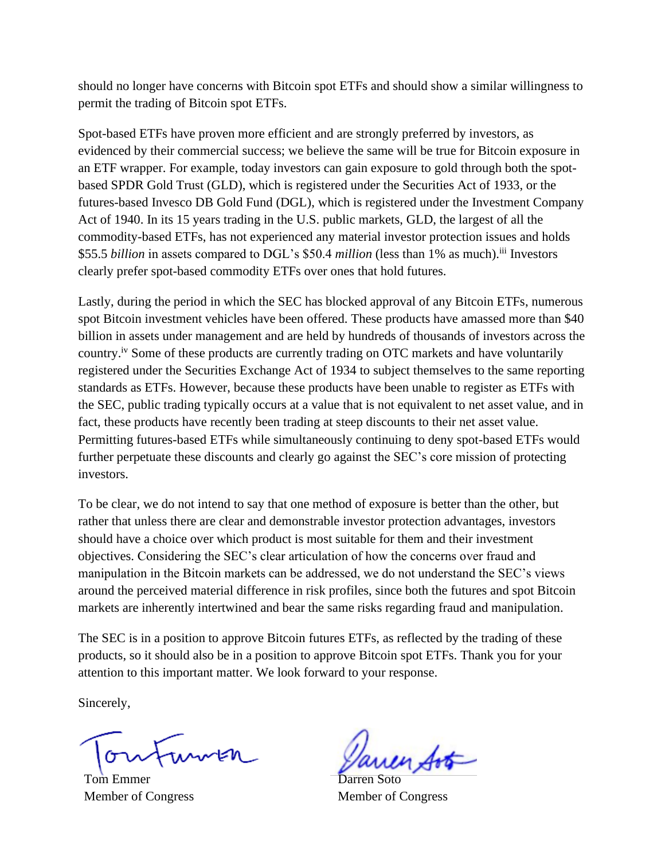should no longer have concerns with Bitcoin spot ETFs and should show a similar willingness to permit the trading of Bitcoin spot ETFs.

Spot-based ETFs have proven more efficient and are strongly preferred by investors, as evidenced by their commercial success; we believe the same will be true for Bitcoin exposure in an ETF wrapper. For example, today investors can gain exposure to gold through both the spotbased SPDR Gold Trust (GLD), which is registered under the Securities Act of 1933, or the futures-based Invesco DB Gold Fund (DGL), which is registered under the Investment Company Act of 1940. In its 15 years trading in the U.S. public markets, GLD, the largest of all the commodity-based ETFs, has not experienced any material investor protection issues and holds \$55.5 *billion* in assets compared to DGL's \$50.4 *million* (less than 1% as much).<sup>iii</sup> Investors clearly prefer spot-based commodity ETFs over ones that hold futures.

Lastly, during the period in which the SEC has blocked approval of any Bitcoin ETFs, numerous spot Bitcoin investment vehicles have been offered. These products have amassed more than \$40 billion in assets under management and are held by hundreds of thousands of investors across the country.iv Some of these products are currently trading on OTC markets and have voluntarily registered under the Securities Exchange Act of 1934 to subject themselves to the same reporting standards as ETFs. However, because these products have been unable to register as ETFs with the SEC, public trading typically occurs at a value that is not equivalent to net asset value, and in fact, these products have recently been trading at steep discounts to their net asset value. Permitting futures-based ETFs while simultaneously continuing to deny spot-based ETFs would further perpetuate these discounts and clearly go against the SEC's core mission of protecting investors.

To be clear, we do not intend to say that one method of exposure is better than the other, but rather that unless there are clear and demonstrable investor protection advantages, investors should have a choice over which product is most suitable for them and their investment objectives. Considering the SEC's clear articulation of how the concerns over fraud and manipulation in the Bitcoin markets can be addressed, we do not understand the SEC's views around the perceived material difference in risk profiles, since both the futures and spot Bitcoin markets are inherently intertwined and bear the same risks regarding fraud and manipulation.

The SEC is in a position to approve Bitcoin futures ETFs, as reflected by the trading of these products, so it should also be in a position to approve Bitcoin spot ETFs. Thank you for your attention to this important matter. We look forward to your response.

Sincerely,

Tom Emmer Member of Congress

Darren Soto Member of Congress